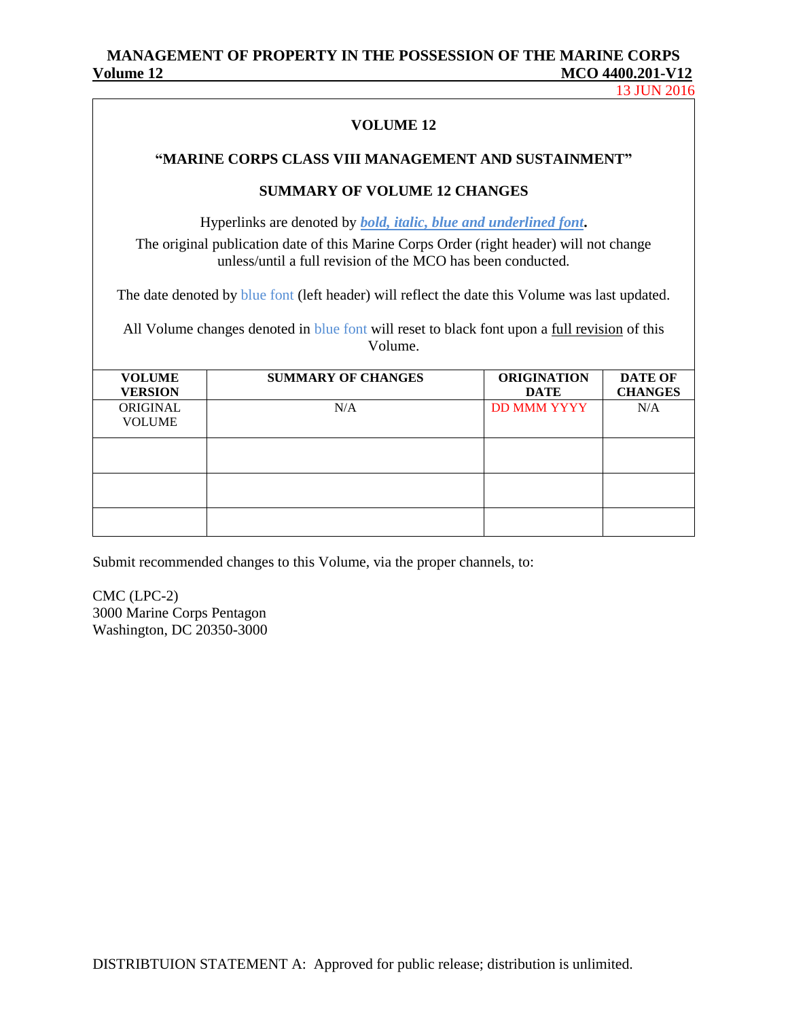13 JUN 2016

### **VOLUME 12**

### **"MARINE CORPS CLASS VIII MANAGEMENT AND SUSTAINMENT"**

### **SUMMARY OF VOLUME 12 CHANGES**

Hyperlinks are denoted by *bold, italic, blue and underlined font***.** The original publication date of this Marine Corps Order (right header) will not change unless/until a full revision of the MCO has been conducted.

The date denoted by blue font (left header) will reflect the date this Volume was last updated.

All Volume changes denoted in blue font will reset to black font upon a full revision of this Volume.

| <b>VOLUME</b><br><b>VERSION</b> | <b>SUMMARY OF CHANGES</b> | <b>ORIGINATION</b><br><b>DATE</b> | <b>DATE OF</b><br><b>CHANGES</b> |
|---------------------------------|---------------------------|-----------------------------------|----------------------------------|
| ORIGINAL<br><b>VOLUME</b>       | N/A                       | <b>DD MMM YYYY</b>                | N/A                              |
|                                 |                           |                                   |                                  |
|                                 |                           |                                   |                                  |
|                                 |                           |                                   |                                  |

Submit recommended changes to this Volume, via the proper channels, to:

CMC (LPC-2) 3000 Marine Corps Pentagon Washington, DC 20350-3000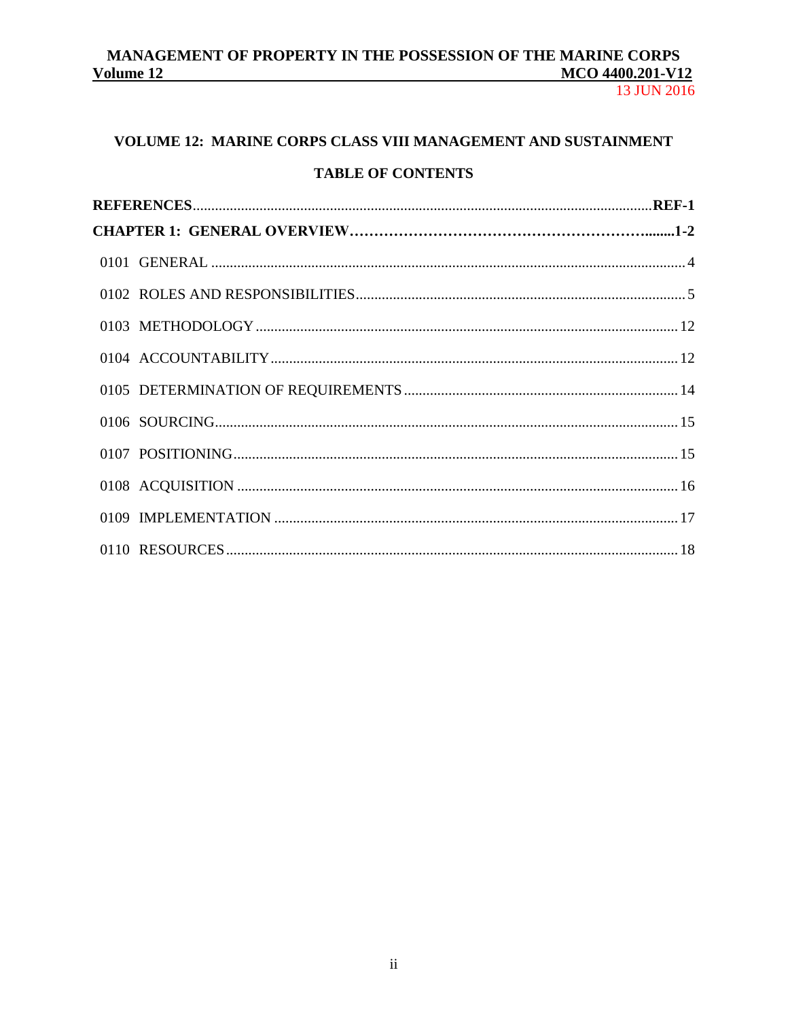13 JUN 2016

# VOLUME 12: MARINE CORPS CLASS VIII MANAGEMENT AND SUSTAINMENT

# **TABLE OF CONTENTS**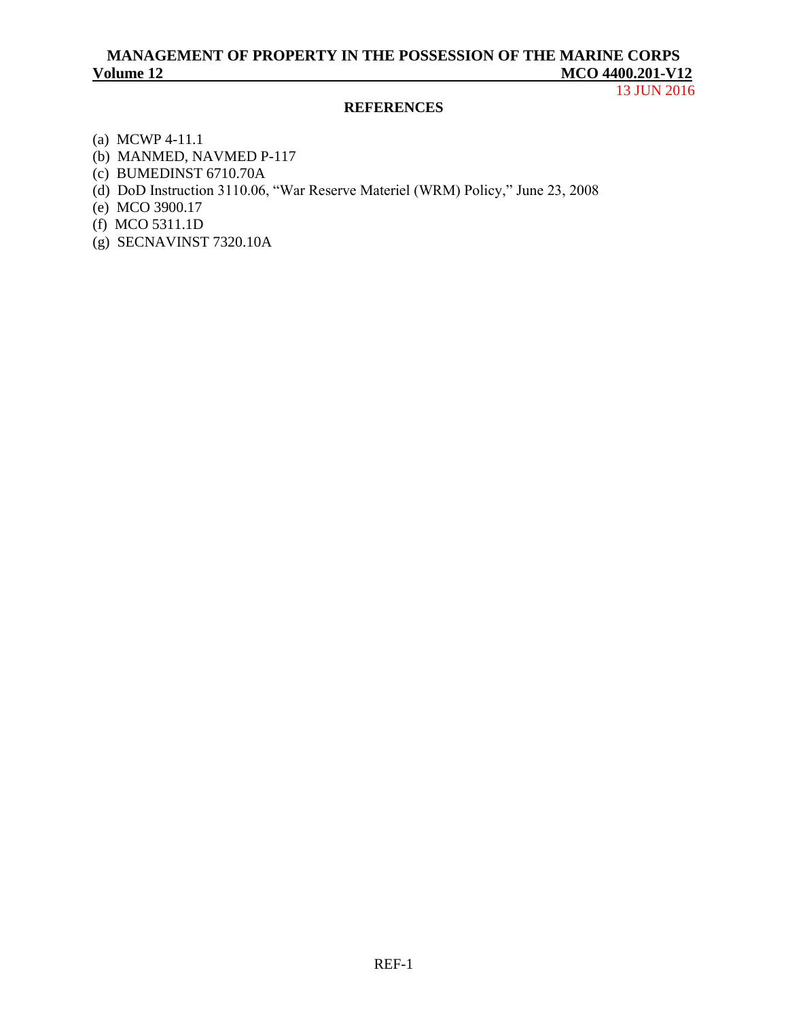13 JUN 2016

### **REFERENCES**

- (a) [MCWP 4-11.1](http://www.marines.mil/Portals/59/MCWP%204-11_1.pdf)
- (b) [MANMED, NAVMED P-117](http://www.med.navy.mil/directives/Pages/NAVMEDP-MANMED.aspx)
- (c) [BUMEDINST 6710.70A](http://www.med.navy.mil/directives/ExternalDirectives/6710.70A.pdf)
- (d) [DoD Instruction 3110.06, "War Reserve Materiel \(WRM\) Policy,](http://www.dtic.mil/whs/directives/corres/pdf/311006p.pdf)" June 23, 2008
- (e) [MCO 3900.17](http://www.marines.mil/Portals/59/Publications/MCO%203900.17.pdf)
- (f) [MCO 5311.1D](http://www.marines.mil/Portals/59/Publications/MCO%205311.1D_1.pdf)
- (g) [SECNAVINST 7320.10A](http://doni.daps.dla.mil/Directives/07000%20Financial%20Management%20Services/07-300%20General%20Accounting%20Services/7320.10A.pdf)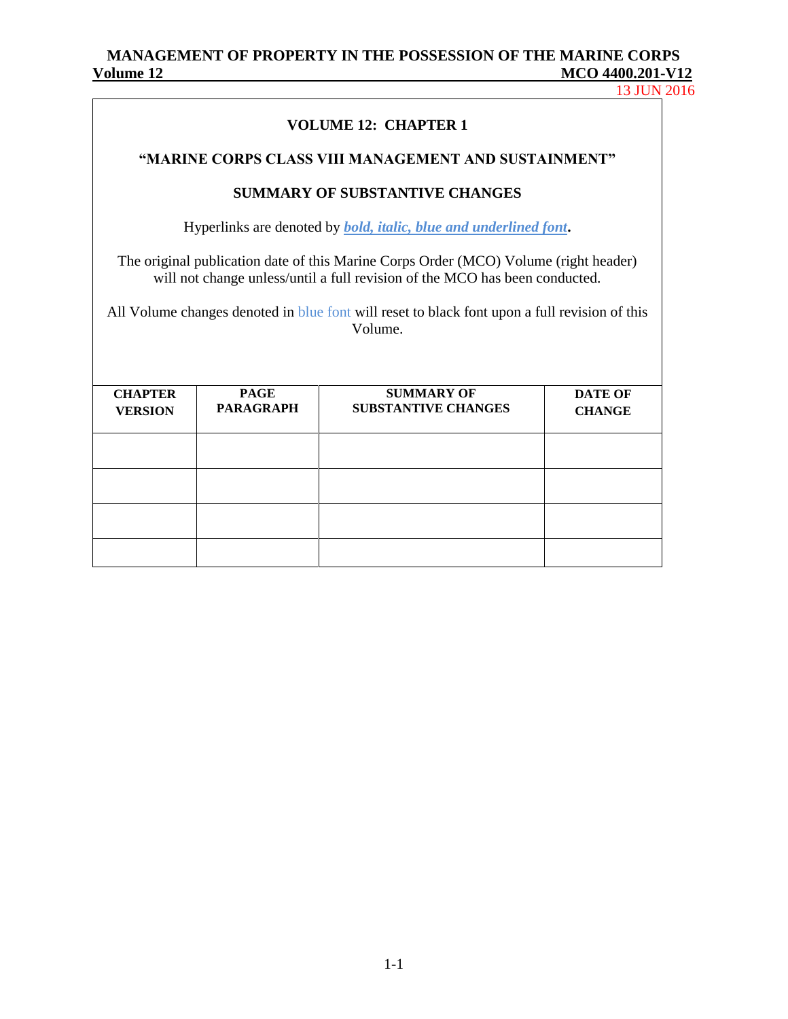13 JUN 2016

| <b>VOLUME 12: CHAPTER 1</b>                                                                                                                                                                                                                                                    |                                 |                                                 |                                 |  |  |  |
|--------------------------------------------------------------------------------------------------------------------------------------------------------------------------------------------------------------------------------------------------------------------------------|---------------------------------|-------------------------------------------------|---------------------------------|--|--|--|
| "MARINE CORPS CLASS VIII MANAGEMENT AND SUSTAINMENT"                                                                                                                                                                                                                           |                                 |                                                 |                                 |  |  |  |
| <b>SUMMARY OF SUBSTANTIVE CHANGES</b>                                                                                                                                                                                                                                          |                                 |                                                 |                                 |  |  |  |
| Hyperlinks are denoted by <i>bold, italic, blue and underlined font</i> .                                                                                                                                                                                                      |                                 |                                                 |                                 |  |  |  |
| The original publication date of this Marine Corps Order (MCO) Volume (right header)<br>will not change unless/until a full revision of the MCO has been conducted.<br>All Volume changes denoted in blue font will reset to black font upon a full revision of this<br>Volume |                                 |                                                 |                                 |  |  |  |
| <b>CHAPTER</b><br><b>VERSION</b>                                                                                                                                                                                                                                               | <b>PAGE</b><br><b>PARAGRAPH</b> | <b>SUMMARY OF</b><br><b>SUBSTANTIVE CHANGES</b> | <b>DATE OF</b><br><b>CHANGE</b> |  |  |  |
|                                                                                                                                                                                                                                                                                |                                 |                                                 |                                 |  |  |  |
|                                                                                                                                                                                                                                                                                |                                 |                                                 |                                 |  |  |  |
|                                                                                                                                                                                                                                                                                |                                 |                                                 |                                 |  |  |  |
|                                                                                                                                                                                                                                                                                |                                 |                                                 |                                 |  |  |  |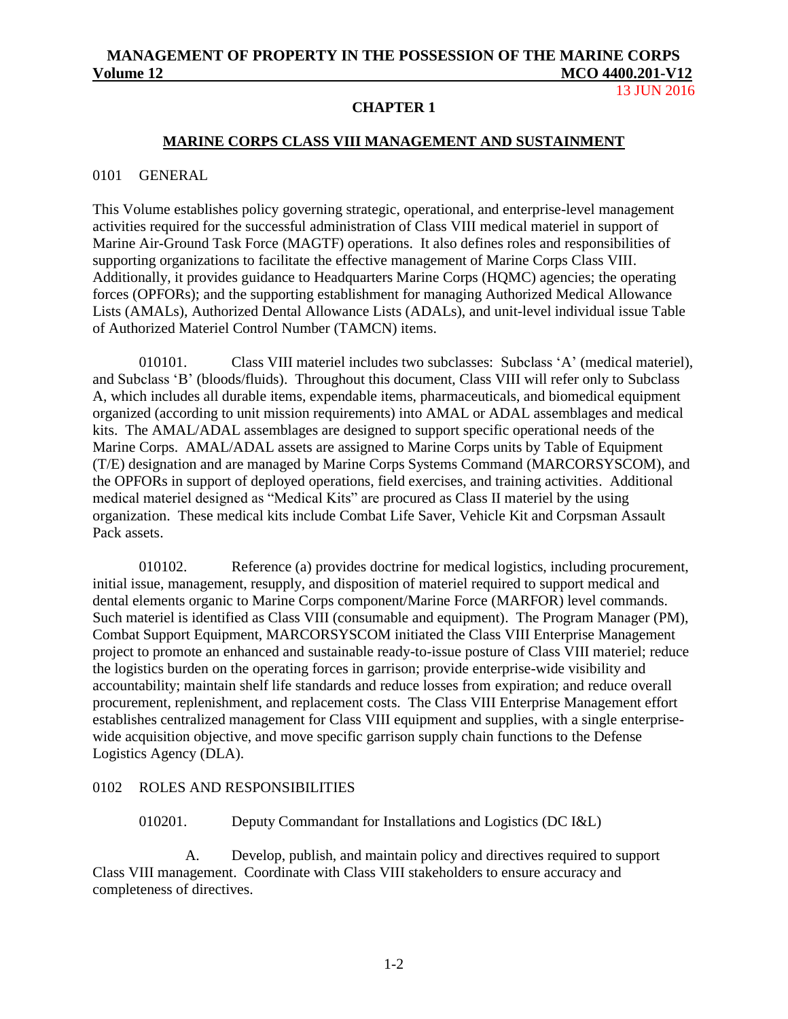#### 13 JUN 2016

### **CHAPTER 1**

### **MARINE CORPS CLASS VIII MANAGEMENT AND SUSTAINMENT**

#### <span id="page-4-0"></span>0101 GENERAL

This Volume establishes policy governing strategic, operational, and enterprise-level management activities required for the successful administration of Class VIII medical materiel in support of Marine Air-Ground Task Force (MAGTF) operations. It also defines roles and responsibilities of supporting organizations to facilitate the effective management of Marine Corps Class VIII. Additionally, it provides guidance to Headquarters Marine Corps (HQMC) agencies; the operating forces (OPFORs); and the supporting establishment for managing Authorized Medical Allowance Lists (AMALs), Authorized Dental Allowance Lists (ADALs), and unit-level individual issue Table of Authorized Materiel Control Number (TAMCN) items.

010101. Class VIII materiel includes two subclasses: Subclass 'A' (medical materiel), and Subclass 'B' (bloods/fluids). Throughout this document, Class VIII will refer only to Subclass A, which includes all durable items, expendable items, pharmaceuticals, and biomedical equipment organized (according to unit mission requirements) into AMAL or ADAL assemblages and medical kits. The AMAL/ADAL assemblages are designed to support specific operational needs of the Marine Corps. AMAL/ADAL assets are assigned to Marine Corps units by Table of Equipment (T/E) designation and are managed by Marine Corps Systems Command (MARCORSYSCOM), and the OPFORs in support of deployed operations, field exercises, and training activities. Additional medical materiel designed as "Medical Kits" are procured as Class II materiel by the using organization. These medical kits include Combat Life Saver, Vehicle Kit and Corpsman Assault Pack assets.

010102. Reference (a) provides doctrine for medical logistics, including procurement, initial issue, management, resupply, and disposition of materiel required to support medical and dental elements organic to Marine Corps component/Marine Force (MARFOR) level commands. Such materiel is identified as Class VIII (consumable and equipment). The Program Manager (PM), Combat Support Equipment, MARCORSYSCOM initiated the Class VIII Enterprise Management project to promote an enhanced and sustainable ready-to-issue posture of Class VIII materiel; reduce the logistics burden on the operating forces in garrison; provide enterprise-wide visibility and accountability; maintain shelf life standards and reduce losses from expiration; and reduce overall procurement, replenishment, and replacement costs. The Class VIII Enterprise Management effort establishes centralized management for Class VIII equipment and supplies, with a single enterprisewide acquisition objective, and move specific garrison supply chain functions to the Defense Logistics Agency (DLA).

### <span id="page-4-1"></span>0102 ROLES AND RESPONSIBILITIES

### 010201. Deputy Commandant for Installations and Logistics (DC I&L)

A. Develop, publish, and maintain policy and directives required to support Class VIII management. Coordinate with Class VIII stakeholders to ensure accuracy and completeness of directives.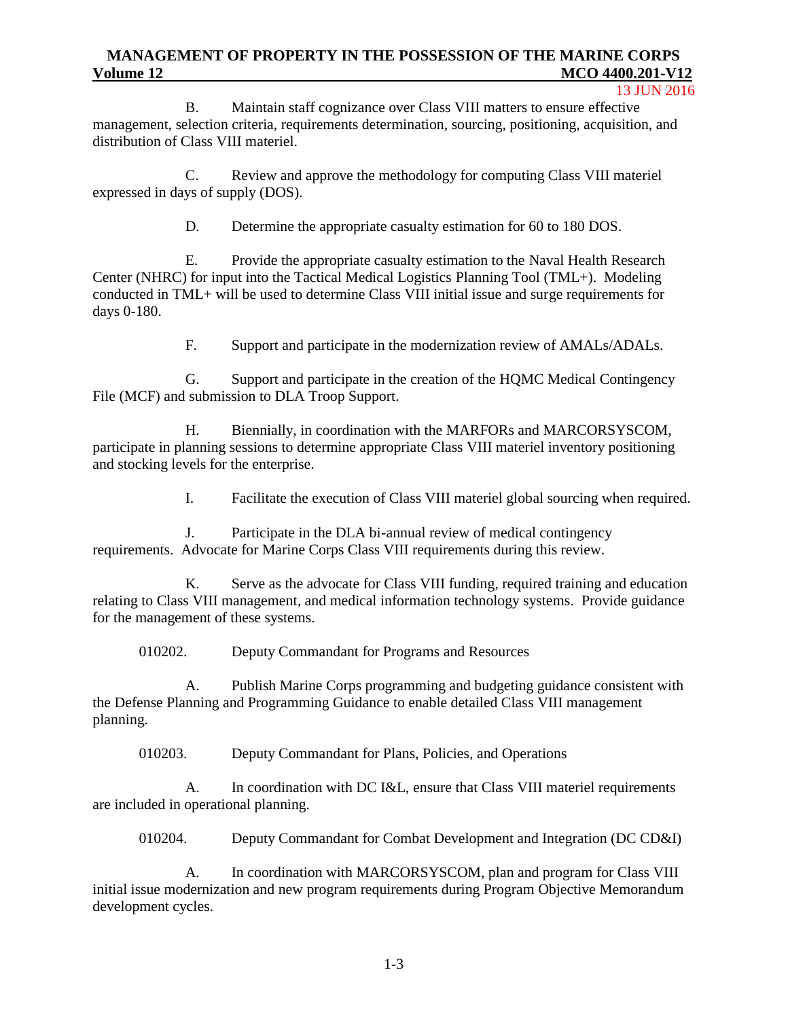#### 13 JUN 2016

B. Maintain staff cognizance over Class VIII matters to ensure effective management, selection criteria, requirements determination, sourcing, positioning, acquisition, and distribution of Class VIII materiel.

C. Review and approve the methodology for computing Class VIII materiel expressed in days of supply (DOS).

D. Determine the appropriate casualty estimation for 60 to 180 DOS.

E. Provide the appropriate casualty estimation to the Naval Health Research Center (NHRC) for input into the Tactical Medical Logistics Planning Tool (TML+). Modeling conducted in TML+ will be used to determine Class VIII initial issue and surge requirements for days 0-180.

F. Support and participate in the modernization review of AMALs/ADALs.

G. Support and participate in the creation of the HQMC Medical Contingency File (MCF) and submission to DLA Troop Support.

H. Biennially, in coordination with the MARFORs and MARCORSYSCOM, participate in planning sessions to determine appropriate Class VIII materiel inventory positioning and stocking levels for the enterprise.

I. Facilitate the execution of Class VIII materiel global sourcing when required.

J. Participate in the DLA bi-annual review of medical contingency requirements. Advocate for Marine Corps Class VIII requirements during this review.

K. Serve as the advocate for Class VIII funding, required training and education relating to Class VIII management, and medical information technology systems. Provide guidance for the management of these systems.

010202. Deputy Commandant for Programs and Resources

A. Publish Marine Corps programming and budgeting guidance consistent with the Defense Planning and Programming Guidance to enable detailed Class VIII management planning.

010203. Deputy Commandant for Plans, Policies, and Operations

A. In coordination with DC I&L, ensure that Class VIII materiel requirements are included in operational planning.

010204. Deputy Commandant for Combat Development and Integration (DC CD&I)

A. In coordination with MARCORSYSCOM, plan and program for Class VIII initial issue modernization and new program requirements during Program Objective Memorandum development cycles.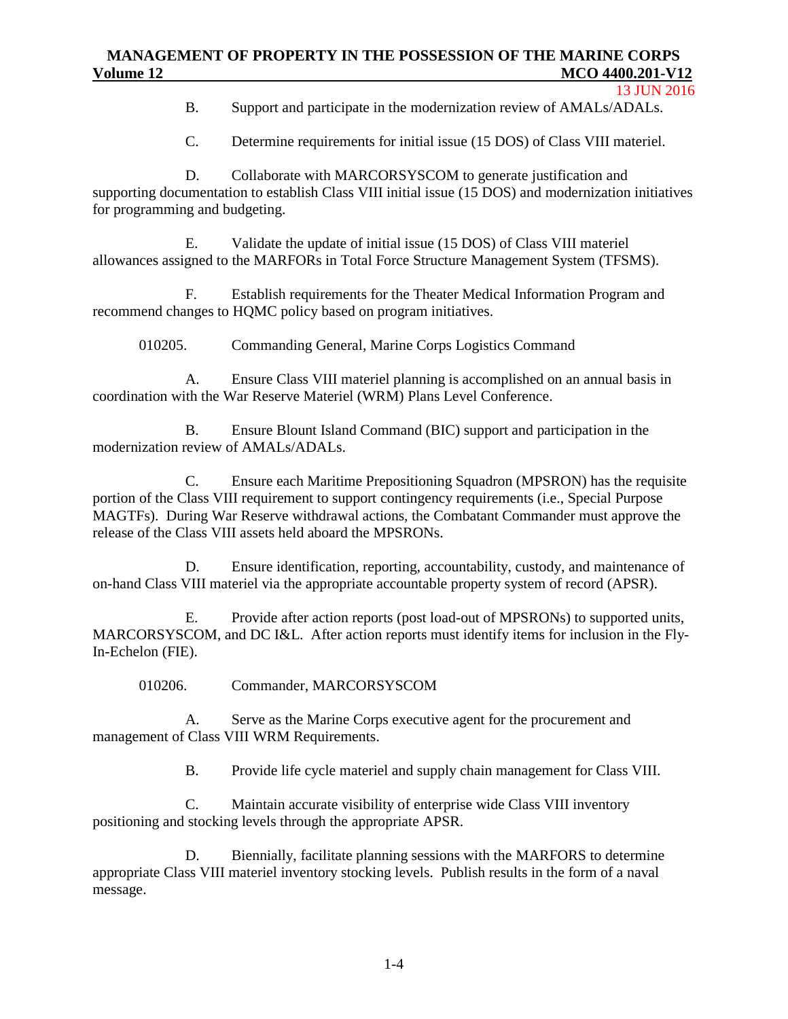B. Support and participate in the modernization review of AMALs/ADALs.

C. Determine requirements for initial issue (15 DOS) of Class VIII materiel.

D. Collaborate with MARCORSYSCOM to generate justification and supporting documentation to establish Class VIII initial issue (15 DOS) and modernization initiatives for programming and budgeting.

E. Validate the update of initial issue (15 DOS) of Class VIII materiel allowances assigned to the MARFORs in Total Force Structure Management System (TFSMS).

F. Establish requirements for the Theater Medical Information Program and recommend changes to HQMC policy based on program initiatives.

010205. Commanding General, Marine Corps Logistics Command

A. Ensure Class VIII materiel planning is accomplished on an annual basis in coordination with the War Reserve Materiel (WRM) Plans Level Conference.

B. Ensure Blount Island Command (BIC) support and participation in the modernization review of AMALs/ADALs.

C. Ensure each Maritime Prepositioning Squadron (MPSRON) has the requisite portion of the Class VIII requirement to support contingency requirements (i.e., Special Purpose MAGTFs). During War Reserve withdrawal actions, the Combatant Commander must approve the release of the Class VIII assets held aboard the MPSRONs.

D. Ensure identification, reporting, accountability, custody, and maintenance of on-hand Class VIII materiel via the appropriate accountable property system of record (APSR).

E. Provide after action reports (post load-out of MPSRONs) to supported units, MARCORSYSCOM, and DC I&L. After action reports must identify items for inclusion in the Fly-In-Echelon (FIE).

010206. Commander, MARCORSYSCOM

A. Serve as the Marine Corps executive agent for the procurement and management of Class VIII WRM Requirements.

B. Provide life cycle materiel and supply chain management for Class VIII.

C. Maintain accurate visibility of enterprise wide Class VIII inventory positioning and stocking levels through the appropriate APSR.

D. Biennially, facilitate planning sessions with the MARFORS to determine appropriate Class VIII materiel inventory stocking levels. Publish results in the form of a naval message.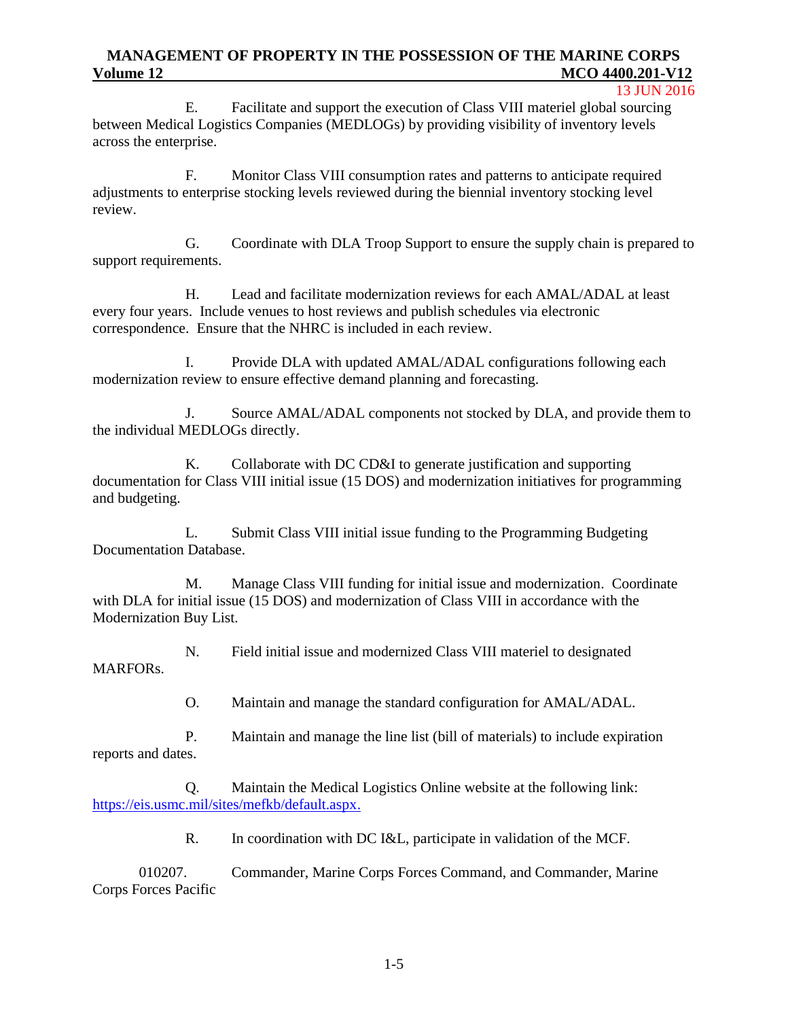#### 13 JUN 2016

E. Facilitate and support the execution of Class VIII materiel global sourcing between Medical Logistics Companies (MEDLOGs) by providing visibility of inventory levels across the enterprise.

F. Monitor Class VIII consumption rates and patterns to anticipate required adjustments to enterprise stocking levels reviewed during the biennial inventory stocking level review.

G. Coordinate with DLA Troop Support to ensure the supply chain is prepared to support requirements.

H. Lead and facilitate modernization reviews for each AMAL/ADAL at least every four years. Include venues to host reviews and publish schedules via electronic correspondence. Ensure that the NHRC is included in each review.

I. Provide DLA with updated AMAL/ADAL configurations following each modernization review to ensure effective demand planning and forecasting.

J. Source AMAL/ADAL components not stocked by DLA, and provide them to the individual MEDLOGs directly.

K. Collaborate with DC CD&I to generate justification and supporting documentation for Class VIII initial issue (15 DOS) and modernization initiatives for programming and budgeting.

L. Submit Class VIII initial issue funding to the Programming Budgeting Documentation Database.

M. Manage Class VIII funding for initial issue and modernization. Coordinate with DLA for initial issue (15 DOS) and modernization of Class VIII in accordance with the Modernization Buy List.

N. Field initial issue and modernized Class VIII materiel to designated MARFORs.

O. Maintain and manage the standard configuration for AMAL/ADAL.

P. Maintain and manage the line list (bill of materials) to include expiration reports and dates.

Q. Maintain the Medical Logistics Online website at the following link: [https://eis.usmc.mil/sites/mefkb/default.aspx.](https://eis.usmc.mil/sites/mefkb/default.aspx)

R. In coordination with DC I&L, participate in validation of the MCF.

010207. Commander, Marine Corps Forces Command, and Commander, Marine Corps Forces Pacific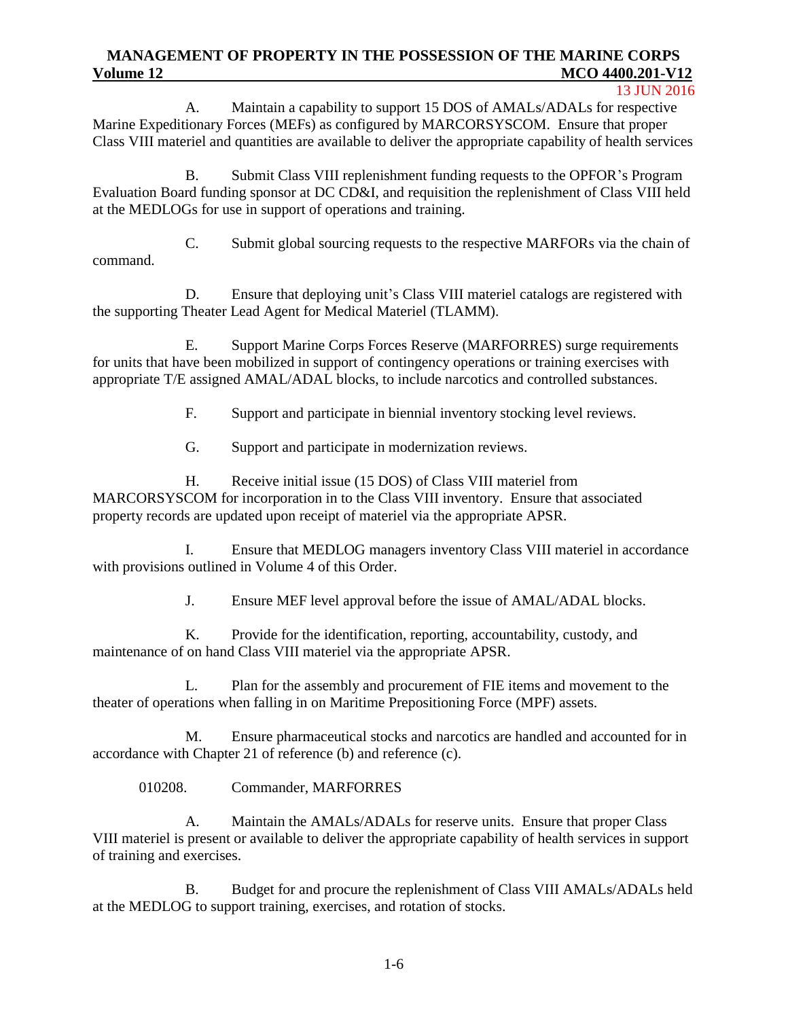#### 13 JUN 2016

A. Maintain a capability to support 15 DOS of AMALs/ADALs for respective Marine Expeditionary Forces (MEFs) as configured by MARCORSYSCOM. Ensure that proper Class VIII materiel and quantities are available to deliver the appropriate capability of health services

B. Submit Class VIII replenishment funding requests to the OPFOR's Program Evaluation Board funding sponsor at DC CD&I, and requisition the replenishment of Class VIII held at the MEDLOGs for use in support of operations and training.

C. Submit global sourcing requests to the respective MARFORs via the chain of command.

D. Ensure that deploying unit's Class VIII materiel catalogs are registered with the supporting Theater Lead Agent for Medical Materiel (TLAMM).

E. Support Marine Corps Forces Reserve (MARFORRES) surge requirements for units that have been mobilized in support of contingency operations or training exercises with appropriate T/E assigned AMAL/ADAL blocks, to include narcotics and controlled substances.

F. Support and participate in biennial inventory stocking level reviews.

G. Support and participate in modernization reviews.

H. Receive initial issue (15 DOS) of Class VIII materiel from MARCORSYSCOM for incorporation in to the Class VIII inventory. Ensure that associated property records are updated upon receipt of materiel via the appropriate APSR.

I. Ensure that MEDLOG managers inventory Class VIII materiel in accordance with provisions outlined in Volume 4 of this Order.

J. Ensure MEF level approval before the issue of AMAL/ADAL blocks.

K. Provide for the identification, reporting, accountability, custody, and maintenance of on hand Class VIII materiel via the appropriate APSR.

L. Plan for the assembly and procurement of FIE items and movement to the theater of operations when falling in on Maritime Prepositioning Force (MPF) assets.

M. Ensure pharmaceutical stocks and narcotics are handled and accounted for in accordance with Chapter 21 of reference (b) and reference (c).

010208. Commander, MARFORRES

A. Maintain the AMALs/ADALs for reserve units. Ensure that proper Class VIII materiel is present or available to deliver the appropriate capability of health services in support of training and exercises.

B. Budget for and procure the replenishment of Class VIII AMALs/ADALs held at the MEDLOG to support training, exercises, and rotation of stocks.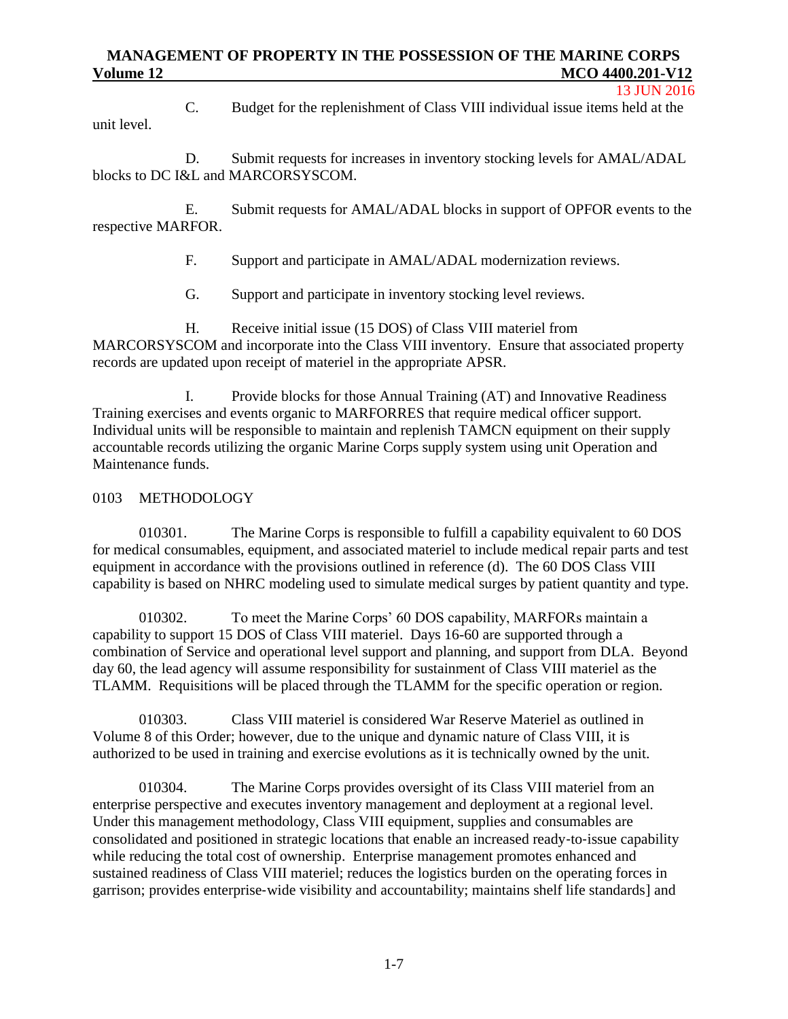C. Budget for the replenishment of Class VIII individual issue items held at the unit level.

D. Submit requests for increases in inventory stocking levels for AMAL/ADAL blocks to DC I&L and MARCORSYSCOM.

E. Submit requests for AMAL/ADAL blocks in support of OPFOR events to the respective MARFOR.

F. Support and participate in AMAL/ADAL modernization reviews.

G. Support and participate in inventory stocking level reviews.

H. Receive initial issue (15 DOS) of Class VIII materiel from MARCORSYSCOM and incorporate into the Class VIII inventory. Ensure that associated property records are updated upon receipt of materiel in the appropriate APSR.

I. Provide blocks for those Annual Training (AT) and Innovative Readiness Training exercises and events organic to MARFORRES that require medical officer support. Individual units will be responsible to maintain and replenish TAMCN equipment on their supply accountable records utilizing the organic Marine Corps supply system using unit Operation and Maintenance funds.

# <span id="page-9-0"></span>0103 METHODOLOGY

010301. The Marine Corps is responsible to fulfill a capability equivalent to 60 DOS for medical consumables, equipment, and associated materiel to include medical repair parts and test equipment in accordance with the provisions outlined in reference (d). The 60 DOS Class VIII capability is based on NHRC modeling used to simulate medical surges by patient quantity and type.

010302. To meet the Marine Corps' 60 DOS capability, MARFORs maintain a capability to support 15 DOS of Class VIII materiel. Days 16-60 are supported through a combination of Service and operational level support and planning, and support from DLA. Beyond day 60, the lead agency will assume responsibility for sustainment of Class VIII materiel as the TLAMM. Requisitions will be placed through the TLAMM for the specific operation or region.

010303. Class VIII materiel is considered War Reserve Materiel as outlined in Volume 8 of this Order; however, due to the unique and dynamic nature of Class VIII, it is authorized to be used in training and exercise evolutions as it is technically owned by the unit.

010304. The Marine Corps provides oversight of its Class VIII materiel from an enterprise perspective and executes inventory management and deployment at a regional level. Under this management methodology, Class VIII equipment, supplies and consumables are consolidated and positioned in strategic locations that enable an increased ready‐to‐issue capability while reducing the total cost of ownership. Enterprise management promotes enhanced and sustained readiness of Class VIII materiel; reduces the logistics burden on the operating forces in garrison; provides enterprise‐wide visibility and accountability; maintains shelf life standards] and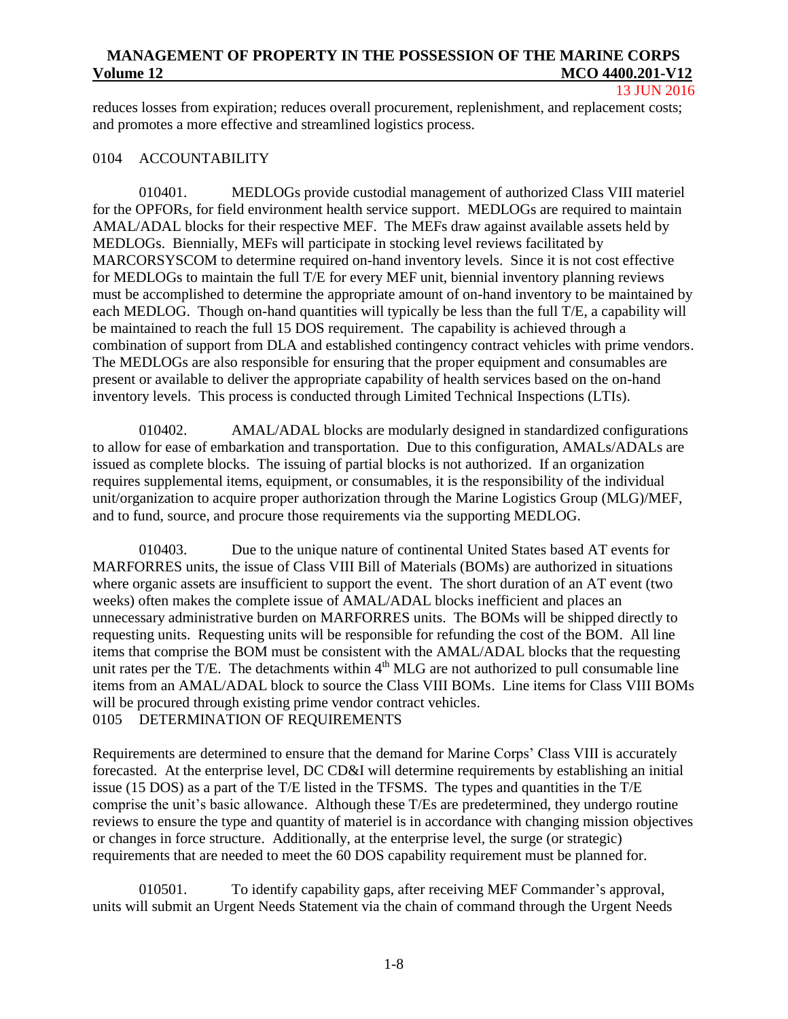13 JUN 2016

reduces losses from expiration; reduces overall procurement, replenishment, and replacement costs; and promotes a more effective and streamlined logistics process.

### <span id="page-10-0"></span>0104 ACCOUNTABILITY

010401. MEDLOGs provide custodial management of authorized Class VIII materiel for the OPFORs, for field environment health service support. MEDLOGs are required to maintain AMAL/ADAL blocks for their respective MEF. The MEFs draw against available assets held by MEDLOGs. Biennially, MEFs will participate in stocking level reviews facilitated by MARCORSYSCOM to determine required on-hand inventory levels. Since it is not cost effective for MEDLOGs to maintain the full T/E for every MEF unit, biennial inventory planning reviews must be accomplished to determine the appropriate amount of on-hand inventory to be maintained by each MEDLOG. Though on-hand quantities will typically be less than the full T/E, a capability will be maintained to reach the full 15 DOS requirement. The capability is achieved through a combination of support from DLA and established contingency contract vehicles with prime vendors. The MEDLOGs are also responsible for ensuring that the proper equipment and consumables are present or available to deliver the appropriate capability of health services based on the on-hand inventory levels. This process is conducted through Limited Technical Inspections (LTIs).

010402. AMAL/ADAL blocks are modularly designed in standardized configurations to allow for ease of embarkation and transportation. Due to this configuration, AMALs/ADALs are issued as complete blocks. The issuing of partial blocks is not authorized. If an organization requires supplemental items, equipment, or consumables, it is the responsibility of the individual unit/organization to acquire proper authorization through the Marine Logistics Group (MLG)/MEF, and to fund, source, and procure those requirements via the supporting MEDLOG.

010403. Due to the unique nature of continental United States based AT events for MARFORRES units, the issue of Class VIII Bill of Materials (BOMs) are authorized in situations where organic assets are insufficient to support the event. The short duration of an AT event (two weeks) often makes the complete issue of AMAL/ADAL blocks inefficient and places an unnecessary administrative burden on MARFORRES units. The BOMs will be shipped directly to requesting units. Requesting units will be responsible for refunding the cost of the BOM. All line items that comprise the BOM must be consistent with the AMAL/ADAL blocks that the requesting unit rates per the T/E. The detachments within  $4<sup>th</sup>$  MLG are not authorized to pull consumable line items from an AMAL/ADAL block to source the Class VIII BOMs. Line items for Class VIII BOMs will be procured through existing prime vendor contract vehicles. 0105 DETERMINATION OF REQUIREMENTS

<span id="page-10-1"></span>Requirements are determined to ensure that the demand for Marine Corps' Class VIII is accurately forecasted. At the enterprise level, DC CD&I will determine requirements by establishing an initial issue (15 DOS) as a part of the T/E listed in the TFSMS. The types and quantities in the T/E comprise the unit's basic allowance. Although these T/Es are predetermined, they undergo routine reviews to ensure the type and quantity of materiel is in accordance with changing mission objectives or changes in force structure. Additionally, at the enterprise level, the surge (or strategic) requirements that are needed to meet the 60 DOS capability requirement must be planned for.

010501. To identify capability gaps, after receiving MEF Commander's approval, units will submit an Urgent Needs Statement via the chain of command through the Urgent Needs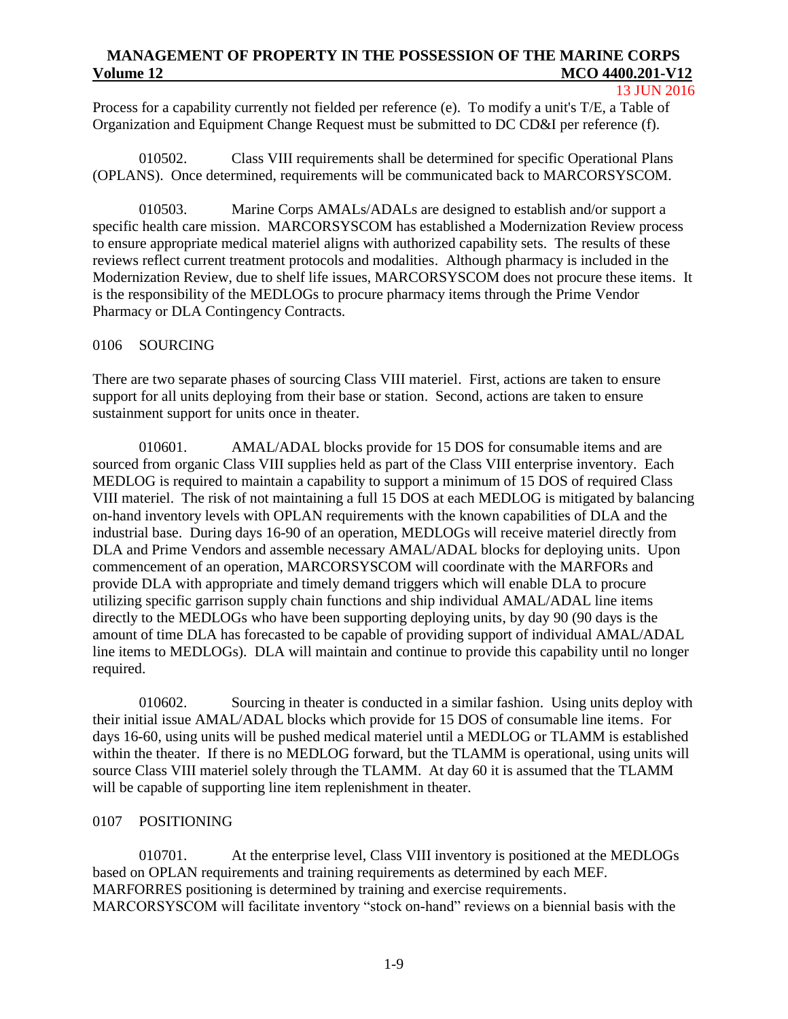### 13 JUN 2016

Process for a capability currently not fielded per reference (e). To modify a unit's T/E, a Table of Organization and Equipment Change Request must be submitted to DC CD&I per reference (f).

010502. Class VIII requirements shall be determined for specific Operational Plans (OPLANS). Once determined, requirements will be communicated back to MARCORSYSCOM.

010503. Marine Corps AMALs/ADALs are designed to establish and/or support a specific health care mission. MARCORSYSCOM has established a Modernization Review process to ensure appropriate medical materiel aligns with authorized capability sets. The results of these reviews reflect current treatment protocols and modalities. Although pharmacy is included in the Modernization Review, due to shelf life issues, MARCORSYSCOM does not procure these items. It is the responsibility of the MEDLOGs to procure pharmacy items through the Prime Vendor Pharmacy or DLA Contingency Contracts.

# <span id="page-11-0"></span>0106 SOURCING

There are two separate phases of sourcing Class VIII materiel. First, actions are taken to ensure support for all units deploying from their base or station. Second, actions are taken to ensure sustainment support for units once in theater.

010601. AMAL/ADAL blocks provide for 15 DOS for consumable items and are sourced from organic Class VIII supplies held as part of the Class VIII enterprise inventory. Each MEDLOG is required to maintain a capability to support a minimum of 15 DOS of required Class VIII materiel. The risk of not maintaining a full 15 DOS at each MEDLOG is mitigated by balancing on-hand inventory levels with OPLAN requirements with the known capabilities of DLA and the industrial base. During days 16-90 of an operation, MEDLOGs will receive materiel directly from DLA and Prime Vendors and assemble necessary AMAL/ADAL blocks for deploying units. Upon commencement of an operation, MARCORSYSCOM will coordinate with the MARFORs and provide DLA with appropriate and timely demand triggers which will enable DLA to procure utilizing specific garrison supply chain functions and ship individual AMAL/ADAL line items directly to the MEDLOGs who have been supporting deploying units, by day 90 (90 days is the amount of time DLA has forecasted to be capable of providing support of individual AMAL/ADAL line items to MEDLOGs). DLA will maintain and continue to provide this capability until no longer required.

010602. Sourcing in theater is conducted in a similar fashion. Using units deploy with their initial issue AMAL/ADAL blocks which provide for 15 DOS of consumable line items. For days 16-60, using units will be pushed medical materiel until a MEDLOG or TLAMM is established within the theater. If there is no MEDLOG forward, but the TLAMM is operational, using units will source Class VIII materiel solely through the TLAMM. At day 60 it is assumed that the TLAMM will be capable of supporting line item replenishment in theater.

# <span id="page-11-1"></span>0107 POSITIONING

010701. At the enterprise level, Class VIII inventory is positioned at the MEDLOGs based on OPLAN requirements and training requirements as determined by each MEF. MARFORRES positioning is determined by training and exercise requirements. MARCORSYSCOM will facilitate inventory "stock on-hand" reviews on a biennial basis with the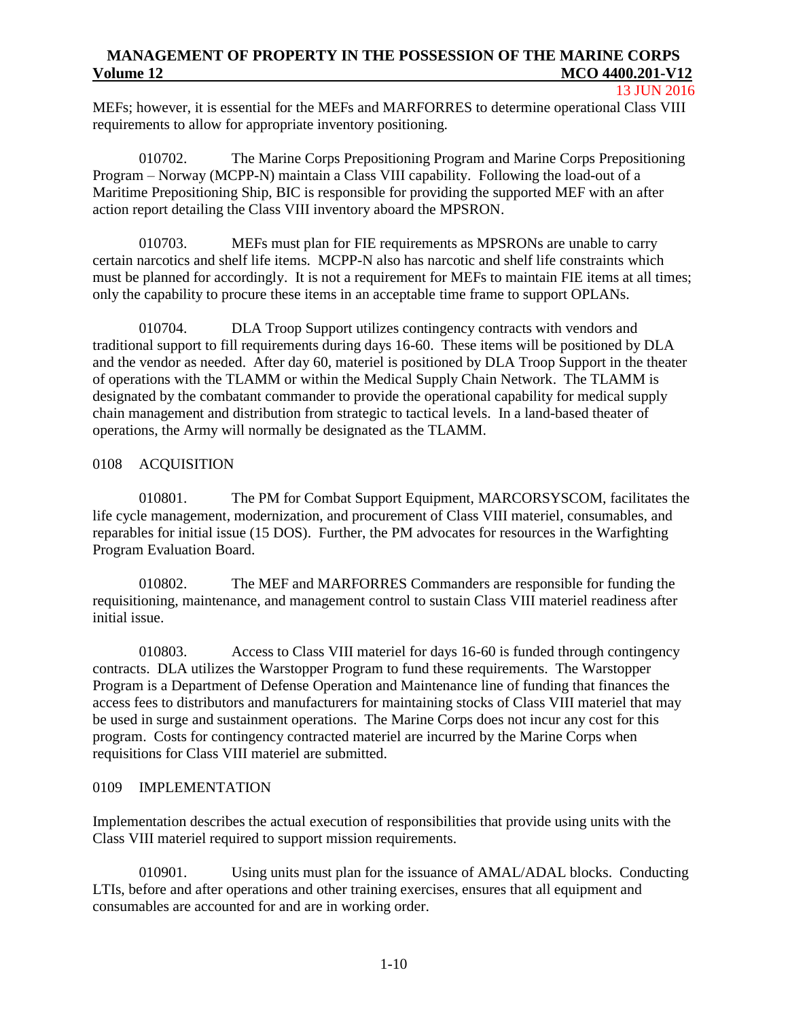13 JUN 2016

MEFs; however, it is essential for the MEFs and MARFORRES to determine operational Class VIII requirements to allow for appropriate inventory positioning.

010702. The Marine Corps Prepositioning Program and Marine Corps Prepositioning Program – Norway (MCPP-N) maintain a Class VIII capability. Following the load-out of a Maritime Prepositioning Ship, BIC is responsible for providing the supported MEF with an after action report detailing the Class VIII inventory aboard the MPSRON.

010703. MEFs must plan for FIE requirements as MPSRONs are unable to carry certain narcotics and shelf life items. MCPP-N also has narcotic and shelf life constraints which must be planned for accordingly. It is not a requirement for MEFs to maintain FIE items at all times; only the capability to procure these items in an acceptable time frame to support OPLANs.

010704. DLA Troop Support utilizes contingency contracts with vendors and traditional support to fill requirements during days 16-60. These items will be positioned by DLA and the vendor as needed. After day 60, materiel is positioned by DLA Troop Support in the theater of operations with the TLAMM or within the Medical Supply Chain Network. The TLAMM is designated by the combatant commander to provide the operational capability for medical supply chain management and distribution from strategic to tactical levels. In a land-based theater of operations, the Army will normally be designated as the TLAMM.

### <span id="page-12-0"></span>0108 ACQUISITION

010801. The PM for Combat Support Equipment, MARCORSYSCOM, facilitates the life cycle management, modernization, and procurement of Class VIII materiel, consumables, and reparables for initial issue (15 DOS). Further, the PM advocates for resources in the Warfighting Program Evaluation Board.

010802. The MEF and MARFORRES Commanders are responsible for funding the requisitioning, maintenance, and management control to sustain Class VIII materiel readiness after initial issue.

010803. Access to Class VIII materiel for days 16-60 is funded through contingency contracts. DLA utilizes the Warstopper Program to fund these requirements. The Warstopper Program is a Department of Defense Operation and Maintenance line of funding that finances the access fees to distributors and manufacturers for maintaining stocks of Class VIII materiel that may be used in surge and sustainment operations. The Marine Corps does not incur any cost for this program. Costs for contingency contracted materiel are incurred by the Marine Corps when requisitions for Class VIII materiel are submitted.

### <span id="page-12-1"></span>0109 IMPLEMENTATION

Implementation describes the actual execution of responsibilities that provide using units with the Class VIII materiel required to support mission requirements.

010901. Using units must plan for the issuance of AMAL/ADAL blocks. Conducting LTIs, before and after operations and other training exercises, ensures that all equipment and consumables are accounted for and are in working order.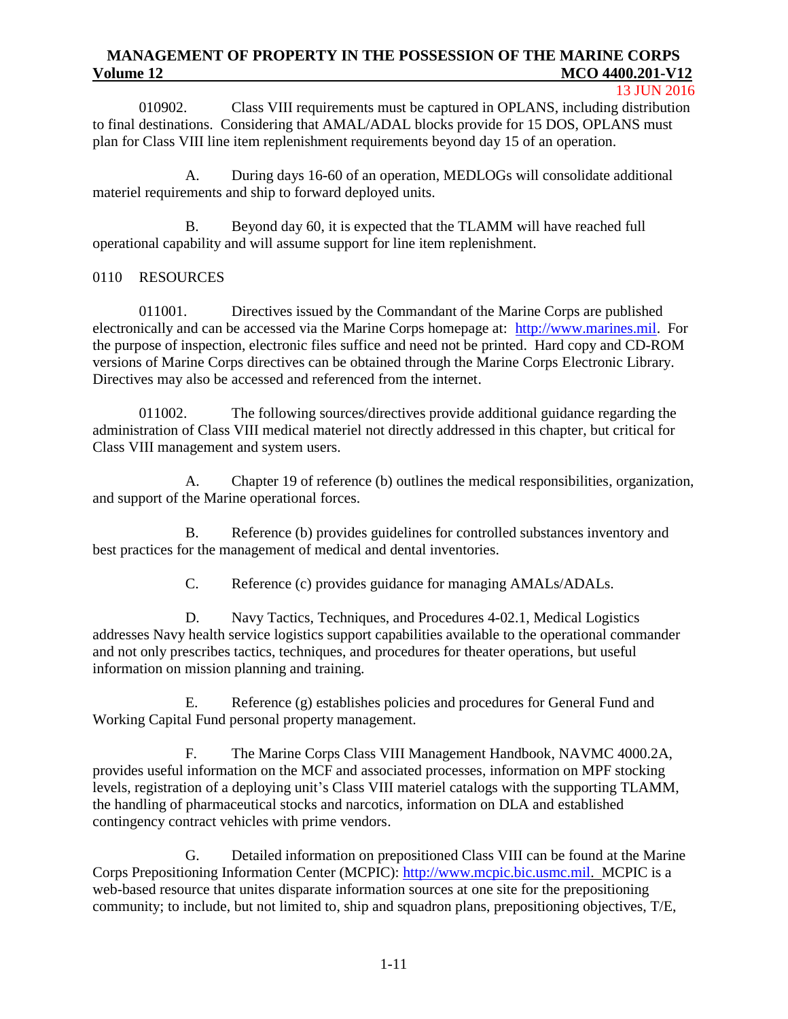#### 13 JUN 2016

010902. Class VIII requirements must be captured in OPLANS, including distribution to final destinations. Considering that AMAL/ADAL blocks provide for 15 DOS, OPLANS must plan for Class VIII line item replenishment requirements beyond day 15 of an operation.

A. During days 16-60 of an operation, MEDLOGs will consolidate additional materiel requirements and ship to forward deployed units.

B. Beyond day 60, it is expected that the TLAMM will have reached full operational capability and will assume support for line item replenishment.

### <span id="page-13-0"></span>0110 RESOURCES

011001. Directives issued by the Commandant of the Marine Corps are published electronically and can be accessed via the Marine Corps homepage at: [http://www.marines.mil.](http://www.marines.mil/) For the purpose of inspection, electronic files suffice and need not be printed. Hard copy and CD-ROM versions of Marine Corps directives can be obtained through the Marine Corps Electronic Library. Directives may also be accessed and referenced from the internet.

011002. The following sources/directives provide additional guidance regarding the administration of Class VIII medical materiel not directly addressed in this chapter, but critical for Class VIII management and system users.

A. Chapter 19 of reference (b) outlines the medical responsibilities, organization, and support of the Marine operational forces.

B. Reference (b) provides guidelines for controlled substances inventory and best practices for the management of medical and dental inventories.

C. Reference (c) provides guidance for managing AMALs/ADALs.

D. Navy Tactics, Techniques, and Procedures 4-02.1, Medical Logistics addresses Navy health service logistics support capabilities available to the operational commander and not only prescribes tactics, techniques, and procedures for theater operations, but useful information on mission planning and training.

E. Reference (g) establishes policies and procedures for General Fund and Working Capital Fund personal property management.

F. The Marine Corps Class VIII Management Handbook, [NAVMC 4000.2A](http://www.marines.mil/Portals/59/Publications/NAVMC%204000.2.pdf), provides useful information on the MCF and associated processes, information on MPF stocking levels, registration of a deploying unit's Class VIII materiel catalogs with the supporting TLAMM, the handling of pharmaceutical stocks and narcotics, information on DLA and established contingency contract vehicles with prime vendors.

G. Detailed information on prepositioned Class VIII can be found at the Marine Corps Prepositioning Information Center (MCPIC): [http://www.mcpic.bic.usmc.mil.](http://www.mcpic.bic.usmc.mil/) MCPIC is a web-based resource that unites disparate information sources at one site for the prepositioning community; to include, but not limited to, ship and squadron plans, prepositioning objectives, T/E,